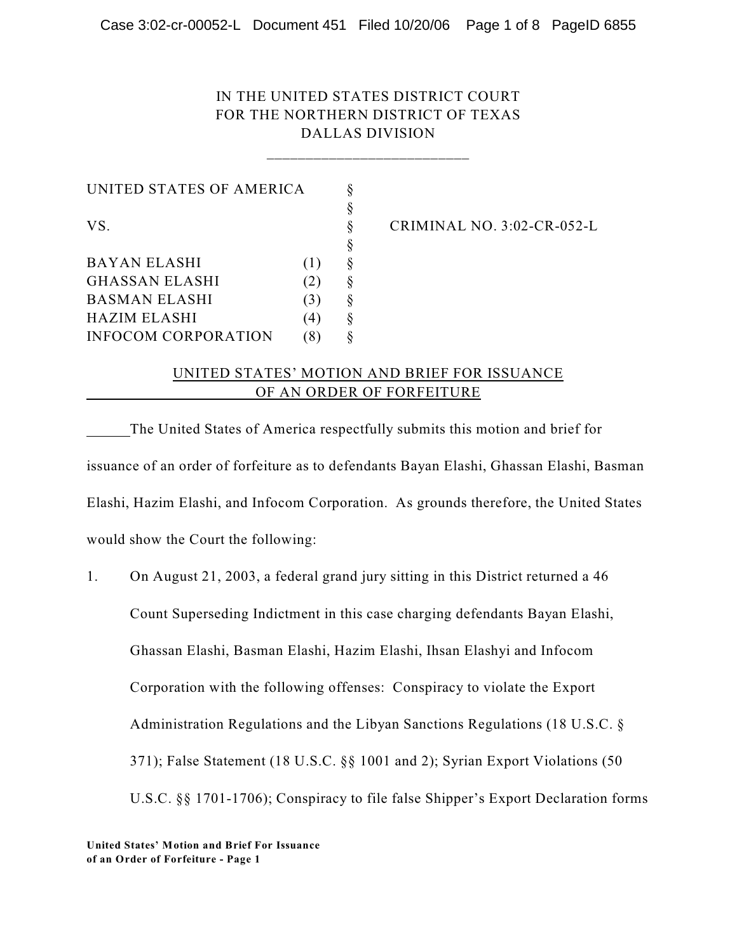# IN THE UNITED STATES DISTRICT COURT FOR THE NORTHERN DISTRICT OF TEXAS DALLAS DIVISION

\_\_\_\_\_\_\_\_\_\_\_\_\_\_\_\_\_\_\_\_\_\_\_\_\_\_

UNITED STATES OF AMERICA  $\S$ § VS. § CRIMINAL NO. 3:02-CR-052-L § BAYAN ELASHI (1) § GHASSAN ELASHI (2) § BASMAN ELASHI (3) § HAZIM ELASHI (4) § INFOCOM CORPORATION (8) §

#### UNITED STATES' MOTION AND BRIEF FOR ISSUANCE OF AN ORDER OF FORFEITURE

The United States of America respectfully submits this motion and brief for issuance of an order of forfeiture as to defendants Bayan Elashi, Ghassan Elashi, Basman Elashi, Hazim Elashi, and Infocom Corporation. As grounds therefore, the United States would show the Court the following:

1. On August 21, 2003, a federal grand jury sitting in this District returned a 46 Count Superseding Indictment in this case charging defendants Bayan Elashi, Ghassan Elashi, Basman Elashi, Hazim Elashi, Ihsan Elashyi and Infocom Corporation with the following offenses: Conspiracy to violate the Export Administration Regulations and the Libyan Sanctions Regulations (18 U.S.C. § 371); False Statement (18 U.S.C. §§ 1001 and 2); Syrian Export Violations (50 U.S.C. §§ 1701-1706); Conspiracy to file false Shipper's Export Declaration forms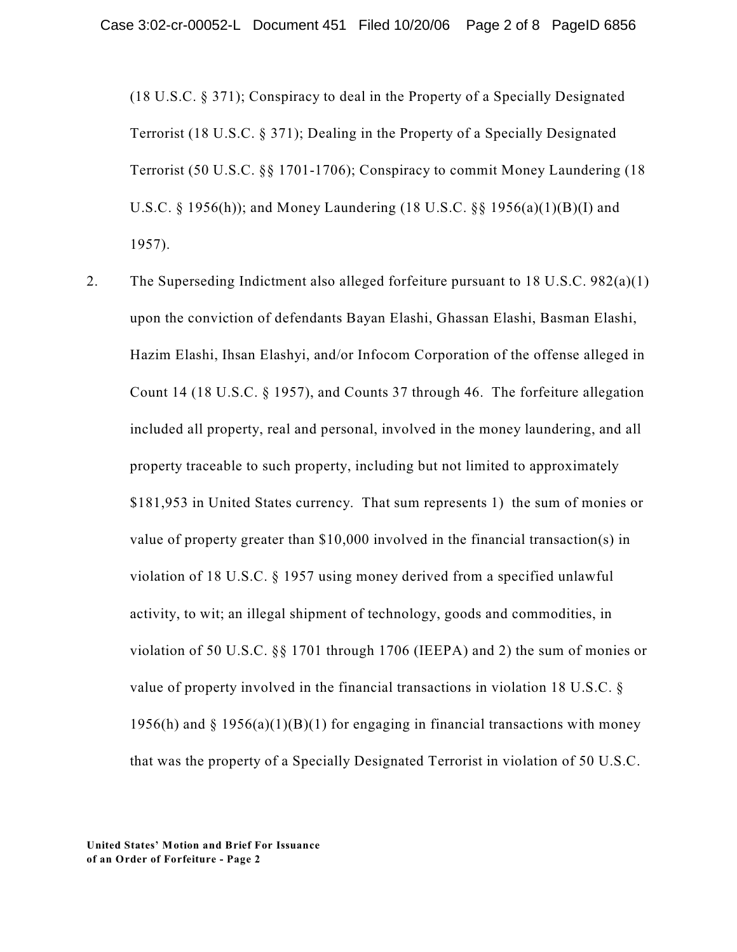(18 U.S.C. § 371); Conspiracy to deal in the Property of a Specially Designated Terrorist (18 U.S.C. § 371); Dealing in the Property of a Specially Designated Terrorist (50 U.S.C. §§ 1701-1706); Conspiracy to commit Money Laundering (18 U.S.C. § 1956(h)); and Money Laundering (18 U.S.C. §§ 1956(a)(1)(B)(I) and 1957).

2. The Superseding Indictment also alleged forfeiture pursuant to 18 U.S.C. 982(a)(1) upon the conviction of defendants Bayan Elashi, Ghassan Elashi, Basman Elashi, Hazim Elashi, Ihsan Elashyi, and/or Infocom Corporation of the offense alleged in Count 14 (18 U.S.C. § 1957), and Counts 37 through 46. The forfeiture allegation included all property, real and personal, involved in the money laundering, and all property traceable to such property, including but not limited to approximately \$181,953 in United States currency. That sum represents 1) the sum of monies or value of property greater than \$10,000 involved in the financial transaction(s) in violation of 18 U.S.C. § 1957 using money derived from a specified unlawful activity, to wit; an illegal shipment of technology, goods and commodities, in violation of 50 U.S.C. §§ 1701 through 1706 (IEEPA) and 2) the sum of monies or value of property involved in the financial transactions in violation 18 U.S.C. § 1956(h) and  $\S$  1956(a)(1)(B)(1) for engaging in financial transactions with money that was the property of a Specially Designated Terrorist in violation of 50 U.S.C.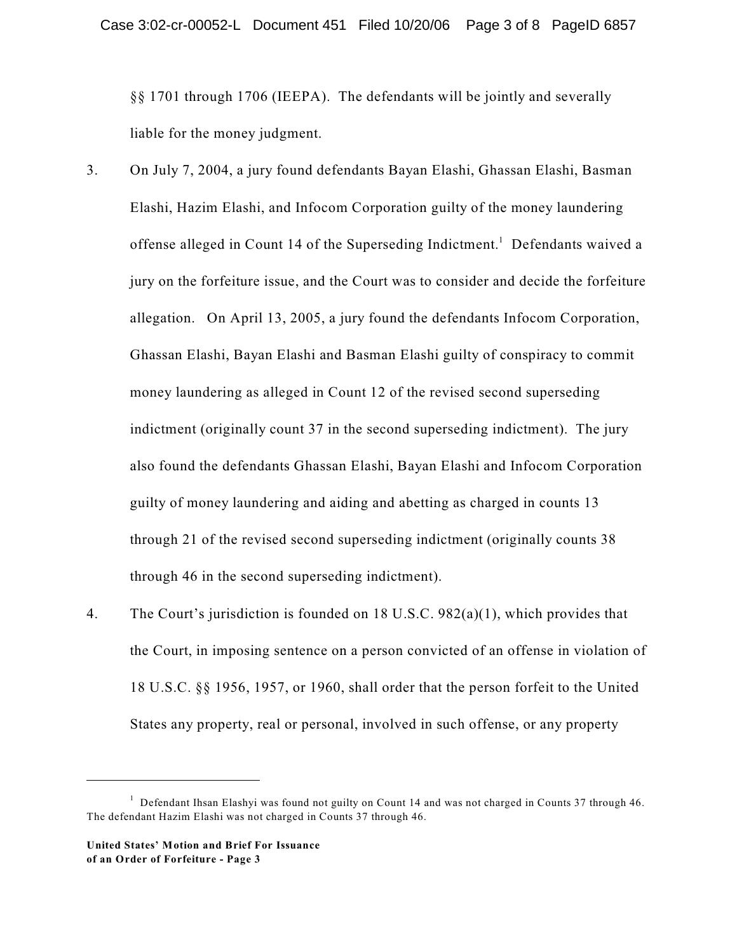§§ 1701 through 1706 (IEEPA). The defendants will be jointly and severally liable for the money judgment.

- 3. On July 7, 2004, a jury found defendants Bayan Elashi, Ghassan Elashi, Basman Elashi, Hazim Elashi, and Infocom Corporation guilty of the money laundering offense alleged in Count 14 of the Superseding Indictment.<sup>1</sup> Defendants waived a jury on the forfeiture issue, and the Court was to consider and decide the forfeiture allegation. On April 13, 2005, a jury found the defendants Infocom Corporation, Ghassan Elashi, Bayan Elashi and Basman Elashi guilty of conspiracy to commit money laundering as alleged in Count 12 of the revised second superseding indictment (originally count 37 in the second superseding indictment). The jury also found the defendants Ghassan Elashi, Bayan Elashi and Infocom Corporation guilty of money laundering and aiding and abetting as charged in counts 13 through 21 of the revised second superseding indictment (originally counts 38 through 46 in the second superseding indictment).
- 4. The Court's jurisdiction is founded on 18 U.S.C. 982(a)(1), which provides that the Court, in imposing sentence on a person convicted of an offense in violation of 18 U.S.C. §§ 1956, 1957, or 1960, shall order that the person forfeit to the United States any property, real or personal, involved in such offense, or any property

 $1$  Defendant Ihsan Elashyi was found not guilty on Count 14 and was not charged in Counts 37 through 46. The defendant Hazim Elashi was not charged in Counts 37 through 46.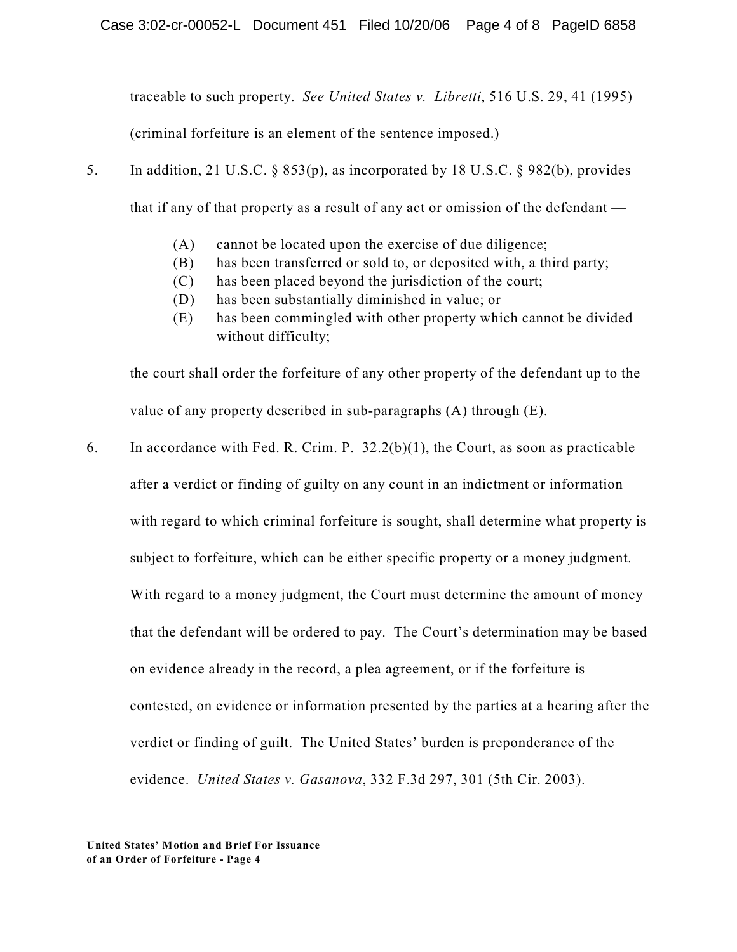traceable to such property. *See United States v. Libretti*, 516 U.S. 29, 41 (1995)

(criminal forfeiture is an element of the sentence imposed.)

- 5. In addition, 21 U.S.C. § 853(p), as incorporated by 18 U.S.C. § 982(b), provides that if any of that property as a result of any act or omission of the defendant —
	- (A) cannot be located upon the exercise of due diligence;
	- (B) has been transferred or sold to, or deposited with, a third party;
	- (C) has been placed beyond the jurisdiction of the court;
	- (D) has been substantially diminished in value; or
	- (E) has been commingled with other property which cannot be divided without difficulty;

the court shall order the forfeiture of any other property of the defendant up to the value of any property described in sub-paragraphs (A) through (E).

6. In accordance with Fed. R. Crim. P. 32.2(b)(1), the Court, as soon as practicable after a verdict or finding of guilty on any count in an indictment or information with regard to which criminal forfeiture is sought, shall determine what property is subject to forfeiture, which can be either specific property or a money judgment. With regard to a money judgment, the Court must determine the amount of money that the defendant will be ordered to pay. The Court's determination may be based on evidence already in the record, a plea agreement, or if the forfeiture is contested, on evidence or information presented by the parties at a hearing after the verdict or finding of guilt. The United States' burden is preponderance of the evidence. *United States v. Gasanova*, 332 F.3d 297, 301 (5th Cir. 2003).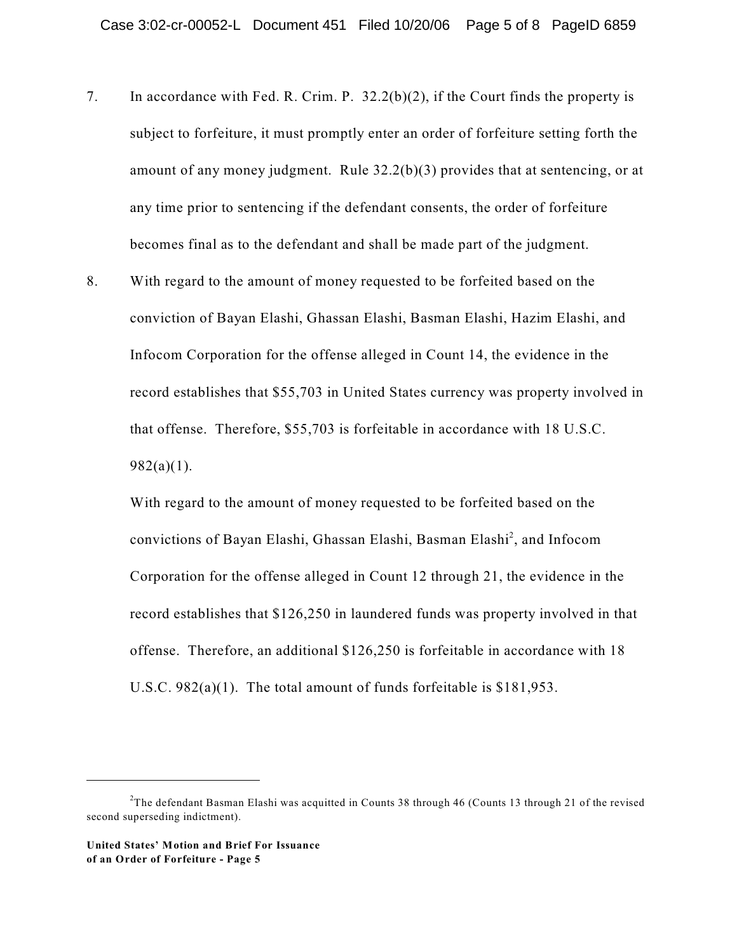- 7. In accordance with Fed. R. Crim. P. 32.2(b)(2), if the Court finds the property is subject to forfeiture, it must promptly enter an order of forfeiture setting forth the amount of any money judgment. Rule 32.2(b)(3) provides that at sentencing, or at any time prior to sentencing if the defendant consents, the order of forfeiture becomes final as to the defendant and shall be made part of the judgment.
- 8. With regard to the amount of money requested to be forfeited based on the conviction of Bayan Elashi, Ghassan Elashi, Basman Elashi, Hazim Elashi, and Infocom Corporation for the offense alleged in Count 14, the evidence in the record establishes that \$55,703 in United States currency was property involved in that offense. Therefore, \$55,703 is forfeitable in accordance with 18 U.S.C.  $982(a)(1)$ .

With regard to the amount of money requested to be forfeited based on the convictions of Bayan Elashi, Ghassan Elashi, Basman Elashi<sup>2</sup>, and Infocom Corporation for the offense alleged in Count 12 through 21, the evidence in the record establishes that \$126,250 in laundered funds was property involved in that offense. Therefore, an additional \$126,250 is forfeitable in accordance with 18 U.S.C. 982(a)(1). The total amount of funds forfeitable is \$181,953.

<sup>&</sup>lt;sup>2</sup>The defendant Basman Elashi was acquitted in Counts 38 through 46 (Counts 13 through 21 of the revised second superseding indictment).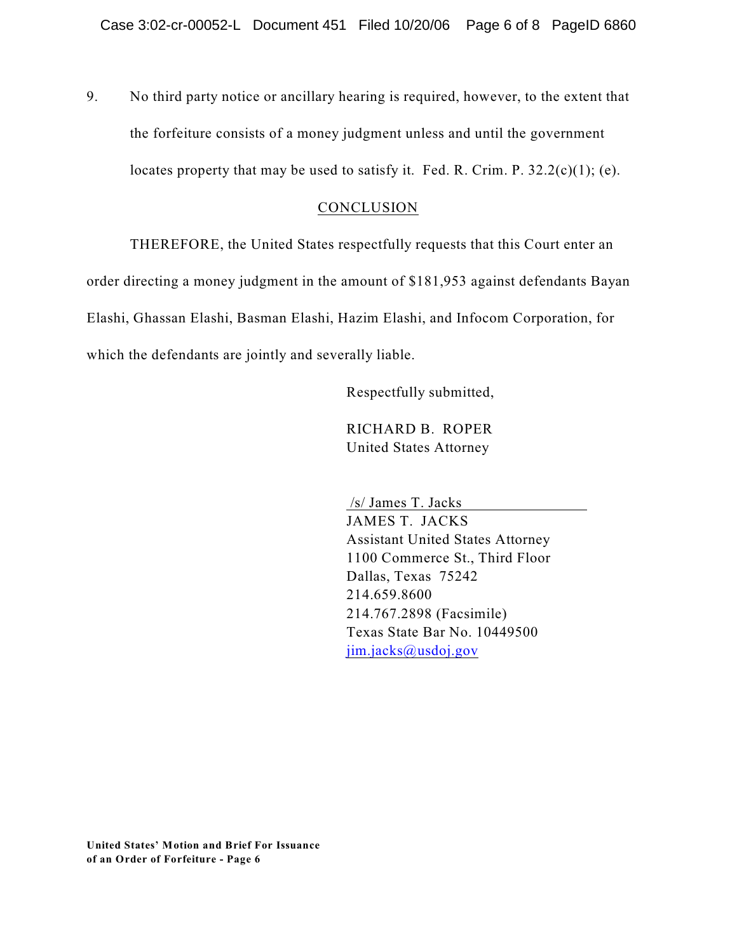9. No third party notice or ancillary hearing is required, however, to the extent that the forfeiture consists of a money judgment unless and until the government locates property that may be used to satisfy it. Fed. R. Crim. P.  $32.2(c)(1)$ ; (e).

### **CONCLUSION**

THEREFORE, the United States respectfully requests that this Court enter an order directing a money judgment in the amount of \$181,953 against defendants Bayan Elashi, Ghassan Elashi, Basman Elashi, Hazim Elashi, and Infocom Corporation, for which the defendants are jointly and severally liable.

Respectfully submitted,

RICHARD B. ROPER United States Attorney

 /s/ James T. Jacks JAMES T. JACKS Assistant United States Attorney 1100 Commerce St., Third Floor Dallas, Texas 75242 214.659.8600 214.767.2898 (Facsimile) Texas State Bar No. 10449500 [jim.jacks@usdoj.gov](mailto:jim.jacks@usdoj.gov)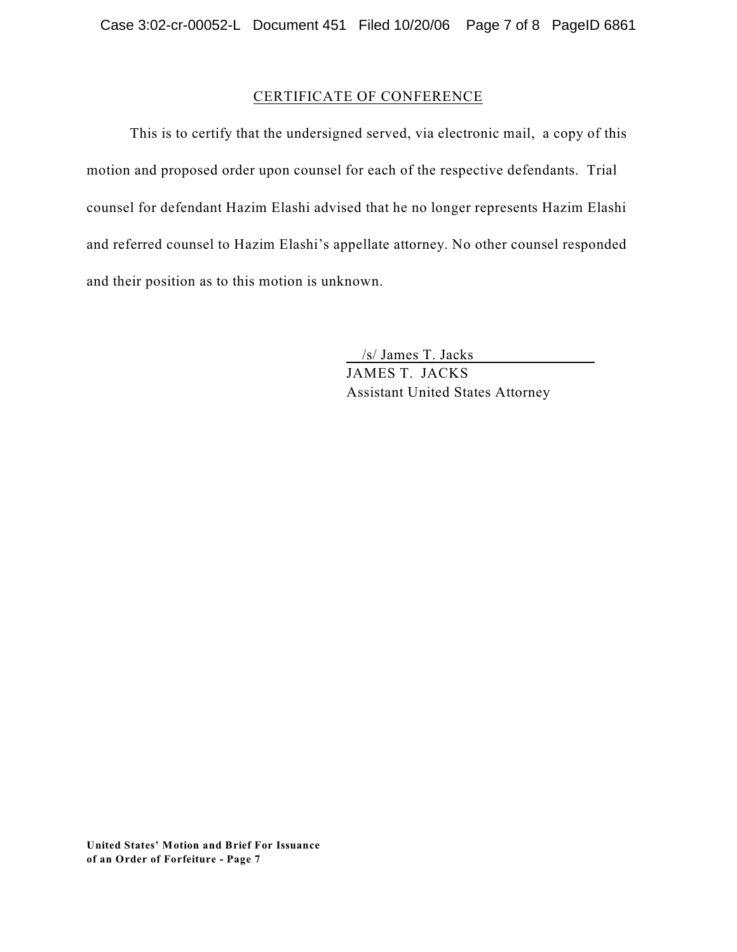# CERTIFICATE OF CONFERENCE

This is to certify that the undersigned served, via electronic mail, a copy of this motion and proposed order upon counsel for each of the respective defendants. Trial counsel for defendant Hazim Elashi advised that he no longer represents Hazim Elashi and referred counsel to Hazim Elashi's appellate attorney. No other counsel responded and their position as to this motion is unknown.

/s/ James T. Jacks

JAMES T. JACKS Assistant United States Attorney